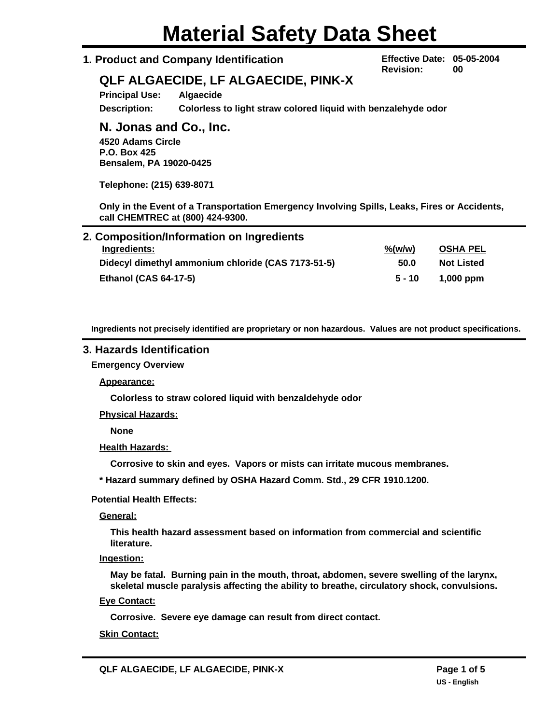# **Material Safety Data Sheet**

# **1. Product and Company Identification**

**Effective Date: 05-05-2004 Revision: 00**

# **QLF ALGAECIDE, LF ALGAECIDE, PINK-X**

**Principal Use: Algaecide Description: Colorless to light straw colored liquid with benzalehyde odor**

# **N. Jonas and Co., Inc.**

**4520 Adams Circle P.O. Box 425 Bensalem, PA 19020-0425**

**Telephone: (215) 639-8071**

**Only in the Event of a Transportation Emergency Involving Spills, Leaks, Fires or Accidents, call CHEMTREC at (800) 424-9300.**

| 2. Composition/Information on Ingredients          |                    |                   |
|----------------------------------------------------|--------------------|-------------------|
| Ingredients:                                       | $\frac{\%(w/w)}{}$ | <b>OSHA PEL</b>   |
| Didecyl dimethyl ammonium chloride (CAS 7173-51-5) | 50.0               | <b>Not Listed</b> |
| <b>Ethanol (CAS 64-17-5)</b>                       | $5 - 10$           | $1,000$ ppm       |

**Ingredients not precisely identified are proprietary or non hazardous. Values are not product specifications.**

# **3. Hazards Identification**

**Emergency Overview**

**Appearance:**

**Colorless to straw colored liquid with benzaldehyde odor**

**Physical Hazards:**

**None**

**Health Hazards:** 

**Corrosive to skin and eyes. Vapors or mists can irritate mucous membranes.**

**\* Hazard summary defined by OSHA Hazard Comm. Std., 29 CFR 1910.1200.**

#### **Potential Health Effects:**

**General:**

**This health hazard assessment based on information from commercial and scientific literature.**

**Ingestion:**

**May be fatal. Burning pain in the mouth, throat, abdomen, severe swelling of the larynx, skeletal muscle paralysis affecting the ability to breathe, circulatory shock, convulsions.**

**Eye Contact:**

**Corrosive. Severe eye damage can result from direct contact.**

#### **Skin Contact:**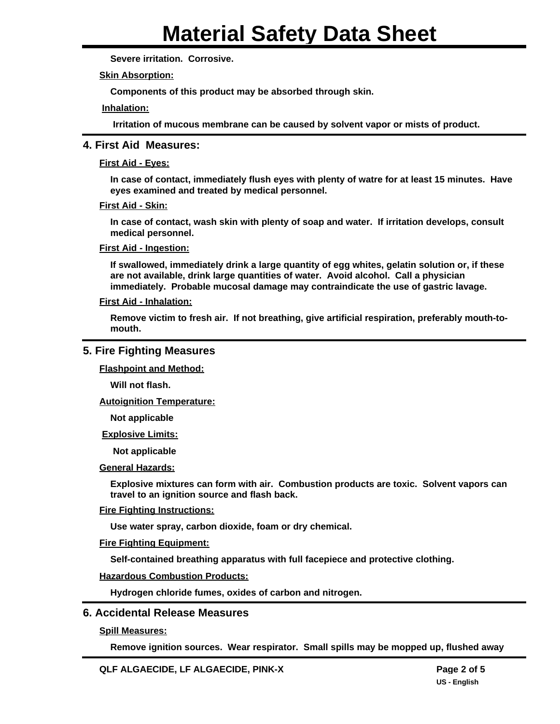**Severe irritation. Corrosive.**

**Skin Absorption:**

**Components of this product may be absorbed through skin.**

**Inhalation:**

**Irritation of mucous membrane can be caused by solvent vapor or mists of product.**

# **4. First Aid Measures:**

#### **First Aid - Eyes:**

**In case of contact, immediately flush eyes with plenty of watre for at least 15 minutes. Have eyes examined and treated by medical personnel.**

#### **First Aid - Skin:**

**In case of contact, wash skin with plenty of soap and water. If irritation develops, consult medical personnel.**

#### **First Aid - Ingestion:**

**If swallowed, immediately drink a large quantity of egg whites, gelatin solution or, if these are not available, drink large quantities of water. Avoid alcohol. Call a physician immediately. Probable mucosal damage may contraindicate the use of gastric lavage.**

#### **First Aid - Inhalation:**

**Remove victim to fresh air. If not breathing, give artificial respiration, preferably mouth-tomouth.**

# **5. Fire Fighting Measures**

**Flashpoint and Method:**

**Will not flash.**

**Autoignition Temperature:**

**Not applicable**

#### **Explosive Limits:**

**Not applicable**

#### **General Hazards:**

**Explosive mixtures can form with air. Combustion products are toxic. Solvent vapors can travel to an ignition source and flash back.**

#### **Fire Fighting Instructions:**

**Use water spray, carbon dioxide, foam or dry chemical.**

#### **Fire Fighting Equipment:**

**Self-contained breathing apparatus with full facepiece and protective clothing.**

#### **Hazardous Combustion Products:**

**Hydrogen chloride fumes, oxides of carbon and nitrogen.**

#### **6. Accidental Release Measures**

#### **Spill Measures:**

**Remove ignition sources. Wear respirator. Small spills may be mopped up, flushed away**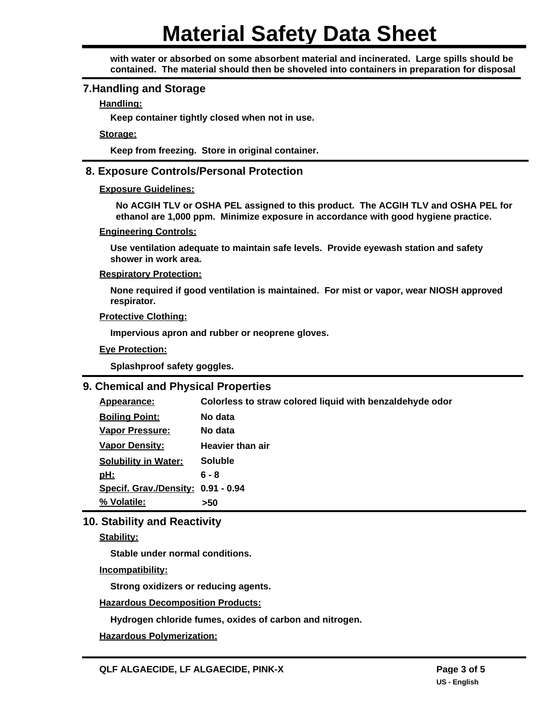# **Material Safety Data Sheet**

**with water or absorbed on some absorbent material and incinerated. Large spills should be contained. The material should then be shoveled into containers in preparation for disposal.**

#### **7.Handling and Storage**

#### **Handling:**

**Keep container tightly closed when not in use.**

**Storage:**

**Keep from freezing. Store in original container.**

# **8. Exposure Controls/Personal Protection**

#### **Exposure Guidelines:**

**No ACGIH TLV or OSHA PEL assigned to this product. The ACGIH TLV and OSHA PEL for ethanol are 1,000 ppm. Minimize exposure in accordance with good hygiene practice.**

#### **Engineering Controls:**

**Use ventilation adequate to maintain safe levels. Provide eyewash station and safety shower in work area.**

#### **Respiratory Protection:**

**None required if good ventilation is maintained. For mist or vapor, wear NIOSH approved respirator.**

#### **Protective Clothing:**

**Impervious apron and rubber or neoprene gloves.**

#### **Eye Protection:**

**Splashproof safety goggles.**

# **9. Chemical and Physical Properties**

**% Volatile: >50 Specif. Grav./Density: 0.91 - 0.94 pH: 6 - 8 Solubility in Water: Soluble Vapor Density: Heavier than air Vapor Pressure: No data Boiling Point: No data Appearance: Colorless to straw colored liquid with benzaldehyde odor**

# **10. Stability and Reactivity**

#### **Stability:**

**Stable under normal conditions.**

#### **Incompatibility:**

**Strong oxidizers or reducing agents.**

**Hazardous Decomposition Products:**

**Hydrogen chloride fumes, oxides of carbon and nitrogen.**

**Hazardous Polymerization:**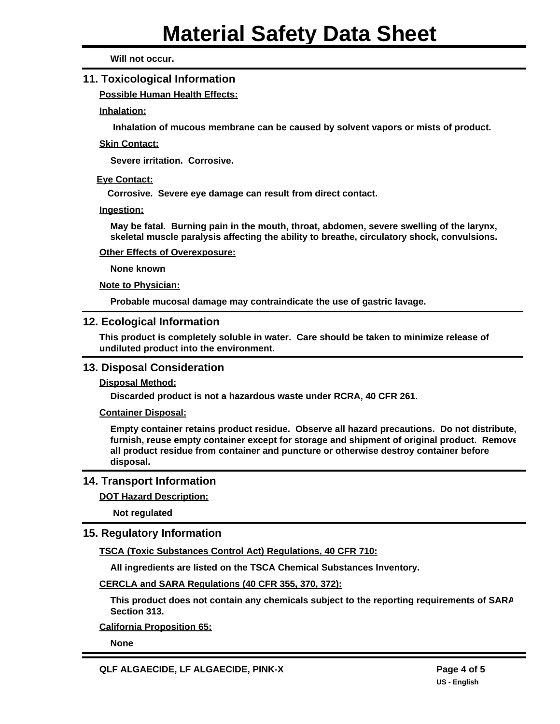**Will not occur.**

# **11. Toxicological Information**

**Possible Human Health Effects:**

#### **Inhalation:**

**Inhalation of mucous membrane can be caused by solvent vapors or mists of product.**

#### **Skin Contact:**

**Severe irritation. Corrosive.**

#### **Eye Contact:**

**Corrosive. Severe eye damage can result from direct contact.**

#### **Ingestion:**

**May be fatal. Burning pain in the mouth, throat, abdomen, severe swelling of the larynx, skeletal muscle paralysis affecting the ability to breathe, circulatory shock, convulsions.**

#### **Other Effects of Overexposure:**

**None known**

#### **Note to Physician:**

**Probable mucosal damage may contraindicate the use of gastric lavage.**

#### **12. Ecological Information**

**This product is completely soluble in water. Care should be taken to minimize release of undiluted product into the environment.**

#### **13. Disposal Consideration**

#### **Disposal Method:**

**Discarded product is not a hazardous waste under RCRA, 40 CFR 261.**

#### **Container Disposal:**

**Empty container retains product residue. Observe all hazard precautions. Do not distribute, furnish, reuse empty container except for storage and shipment of original product. Remove all product residue from container and puncture or otherwise destroy container before disposal.**

#### **14. Transport Information**

#### **DOT Hazard Description:**

**Not regulated**

# **15. Regulatory Information**

**TSCA (Toxic Substances Control Act) Regulations, 40 CFR 710:**

**All ingredients are listed on the TSCA Chemical Substances Inventory.**

**CERCLA and SARA Regulations (40 CFR 355, 370, 372):**

**This product does not contain any chemicals subject to the reporting requirements of SARA Section 313.**

**California Proposition 65:**

**None**